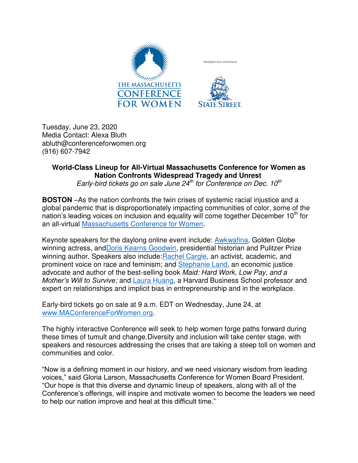

Tuesday, June 23, 2020 Media Contact: Alexa Bluth abluth@conferenceforwomen.org (916) 607-7942

## **World-Class Lineup for All-Virtual Massachusetts Conference for Women as Nation Confronts Widespread Tragedy and Unrest**

*Early-bird tickets go on sale June 24th for Conference on Dec. 10th*

**BOSTON** –As the nation confronts the twin crises of systemic racial injustice and a global pandemic that is disproportionately impacting communities of color, some of the nation's leading voices on inclusion and equality will come together December  $10<sup>th</sup>$  for an all-virtual [Massachusetts Conference for Women.](https://www.maconferenceforwomen.org/)

Keynote speakers for the daylong online event include: [Awkwafina,](https://www.maconferenceforwomen.org/speakers/awkwafina/) Golden Globe winning actress, and Doris Kearns Goodwin, presidential historian and Pulitzer Prize winning author. Speakers also include: Rachel Cargle, an activist, academic, and prominent voice on race and feminism; and [Stephanie Land,](https://www.maconferenceforwomen.org/speakers/stephanie-land/) an economic justice advocate and author of the best-selling book *Maid: Hard Work, Low Pay, and a Mother's Will to Survive;* and [Laura Huang,](https://www.maconferenceforwomen.org/speakers/laura-huang/) a Harvard Business School professor and expert on relationships and implicit bias in entrepreneurship and in the workplace.

Early-bird tickets go on sale at 9 a.m. EDT on Wednesday, June 24, at [www.MAConferenceForWomen.org.](https://www.maconferenceforwomen.org/)

The highly interactive Conference will seek to help women forge paths forward during these times of tumult and change.Diversity and inclusion will take center stage, with speakers and resources addressing the crises that are taking a steep toll on women and communities and color.

"Now is a defining moment in our history, and we need visionary wisdom from leading voices," said Gloria Larson, Massachusetts Conference for Women Board President. "Our hope is that this diverse and dynamic lineup of speakers, along with all of the Conference's offerings, will inspire and motivate women to become the leaders we need to help our nation improve and heal at this difficult time."